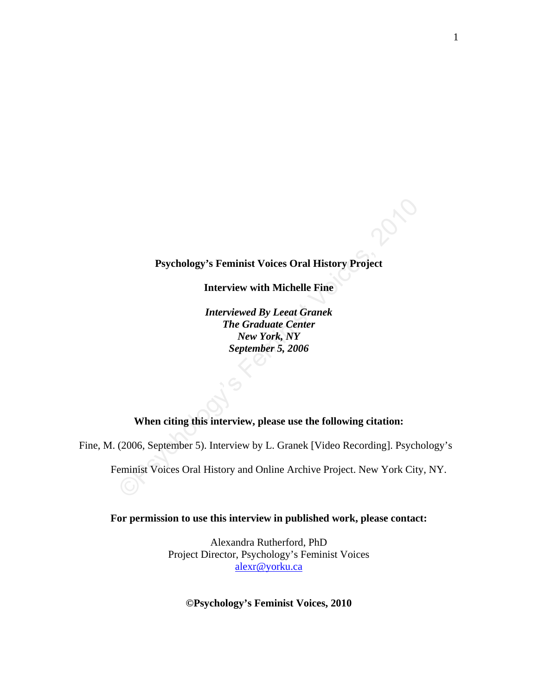## **Psychology's Feminist Voices Oral History Project**

**Interview with Michelle Fine**

Psychology's Feminist Voices Oral History Project<br>
Interview with Michelle Fine<br> *Interviewed By Leeat Granek<br>
The Graduate Center<br>
New York, NY*<br> *September 5, 2006*<br>
When citing this interview, please use the following c *Interviewed By Leeat Granek The Graduate Center New York, NY September 5, 2006* 

# **When citing this interview, please use the following citation:**

Fine, M. (2006, September 5). Interview by L. Granek [Video Recording]. Psychology's

Feminist Voices Oral History and Online Archive Project. New York City, NY.

**For permission to use this interview in published work, please contact:**

Alexandra Rutherford, PhD Project Director, Psychology's Feminist Voices [alexr@yorku.ca](mailto:alexr@yorku.ca)

**©Psychology's Feminist Voices, 2010**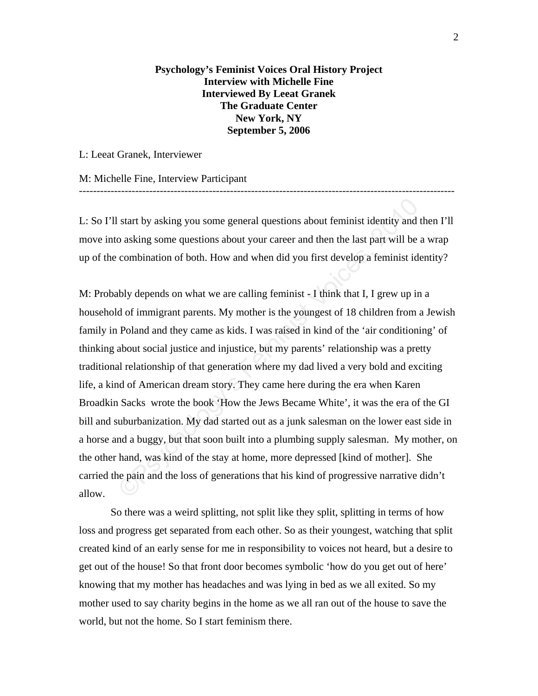**Psychology's Feminist Voices Oral History Project Interview with Michelle Fine Interviewed By Leeat Granek The Graduate Center New York, NY September 5, 2006**

L: Leeat Granek, Interviewer

M: Michelle Fine, Interview Participant

L: So I'll start by asking you some general questions about feminist identity and then I'll move into asking some questions about your career and then the last part will be a wrap up of the combination of both. How and when did you first develop a feminist identity?

-----------------------------------------------------------------------------------------------------------

start by asking you some general questions about feminist identity and to asking some questions about your career and then the last part will be a combination of both. How and when did you first develop a feminist ide bly M: Probably depends on what we are calling feminist - I think that I, I grew up in a household of immigrant parents. My mother is the youngest of 18 children from a Jewish family in Poland and they came as kids. I was raised in kind of the 'air conditioning' of thinking about social justice and injustice, but my parents' relationship was a pretty traditional relationship of that generation where my dad lived a very bold and exciting life, a kind of American dream story. They came here during the era when Karen Broadkin Sacks wrote the book 'How the Jews Became White', it was the era of the GI bill and suburbanization. My dad started out as a junk salesman on the lower east side in a horse and a buggy, but that soon built into a plumbing supply salesman. My mother, on the other hand, was kind of the stay at home, more depressed [kind of mother]. She carried the pain and the loss of generations that his kind of progressive narrative didn't allow.

So there was a weird splitting, not split like they split, splitting in terms of how loss and progress get separated from each other. So as their youngest, watching that split created kind of an early sense for me in responsibility to voices not heard, but a desire to get out of the house! So that front door becomes symbolic 'how do you get out of here' knowing that my mother has headaches and was lying in bed as we all exited. So my mother used to say charity begins in the home as we all ran out of the house to save the world, but not the home. So I start feminism there.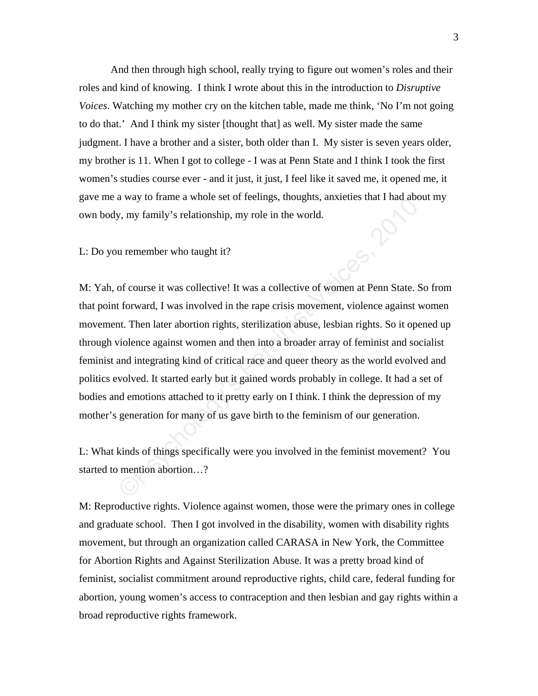And then through high school, really trying to figure out women's roles and their roles and kind of knowing. I think I wrote about this in the introduction to *Disruptive Voices*. Watching my mother cry on the kitchen table, made me think, 'No I'm not going to do that.' And I think my sister [thought that] as well. My sister made the same judgment. I have a brother and a sister, both older than I. My sister is seven years older, my brother is 11. When I got to college - I was at Penn State and I think I took the first women's studies course ever - and it just, it just, I feel like it saved me, it opened me, it gave me a way to frame a whole set of feelings, thoughts, anxieties that I had about my own body, my family's relationship, my role in the world.

L: Do you remember who taught it?

a way to frame a whole set of reemigs, moughts, anxieties that I had above, by, my family's relationship, my role in the world.<br>
u remember who taught it?<br>
of course it was collective! It was a collective of women at Penn M: Yah, of course it was collective! It was a collective of women at Penn State. So from that point forward, I was involved in the rape crisis movement, violence against women movement. Then later abortion rights, sterilization abuse, lesbian rights. So it opened up through violence against women and then into a broader array of feminist and socialist feminist and integrating kind of critical race and queer theory as the world evolved and politics evolved. It started early but it gained words probably in college. It had a set of bodies and emotions attached to it pretty early on I think. I think the depression of my mother's generation for many of us gave birth to the feminism of our generation.

L: What kinds of things specifically were you involved in the feminist movement? You started to mention abortion…?

M: Reproductive rights. Violence against women, those were the primary ones in college and graduate school. Then I got involved in the disability, women with disability rights movement, but through an organization called CARASA in New York, the Committee for Abortion Rights and Against Sterilization Abuse. It was a pretty broad kind of feminist, socialist commitment around reproductive rights, child care, federal funding for abortion, young women's access to contraception and then lesbian and gay rights within a broad reproductive rights framework.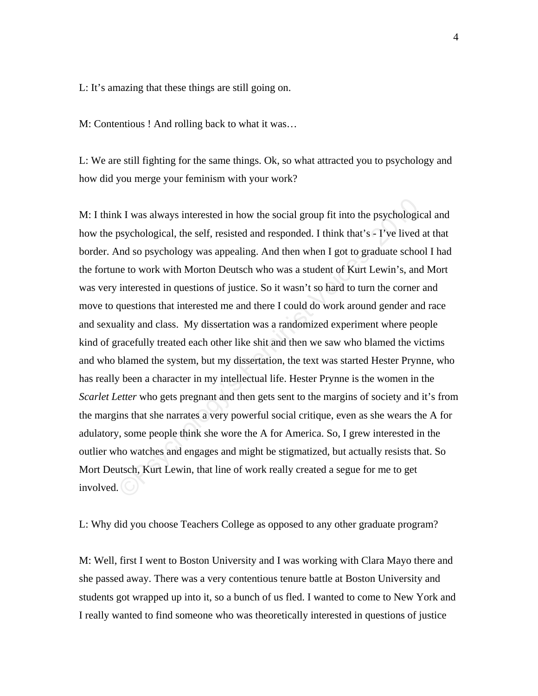L: It's amazing that these things are still going on.

M: Contentious ! And rolling back to what it was…

L: We are still fighting for the same things. Ok, so what attracted you to psychology and how did you merge your feminism with your work?

k I was always interested in how the social group fit into the psychologic<br>sychological, the self, resisted and responded. I think that's = I've lived in<br>a so psychology was appealing. And then when I got to graduate schoo M: I think I was always interested in how the social group fit into the psychological and how the psychological, the self, resisted and responded. I think that's - I've lived at that border. And so psychology was appealing. And then when I got to graduate school I had the fortune to work with Morton Deutsch who was a student of Kurt Lewin's, and Mort was very interested in questions of justice. So it wasn't so hard to turn the corner and move to questions that interested me and there I could do work around gender and race and sexuality and class. My dissertation was a randomized experiment where people kind of gracefully treated each other like shit and then we saw who blamed the victims and who blamed the system, but my dissertation, the text was started Hester Prynne, who has really been a character in my intellectual life. Hester Prynne is the women in the *Scarlet Letter* who gets pregnant and then gets sent to the margins of society and it's from the margins that she narrates a very powerful social critique, even as she wears the A for adulatory, some people think she wore the A for America. So, I grew interested in the outlier who watches and engages and might be stigmatized, but actually resists that. So Mort Deutsch, Kurt Lewin, that line of work really created a segue for me to get involved.  $\left(\bigcirc\right)$ 

L: Why did you choose Teachers College as opposed to any other graduate program?

M: Well, first I went to Boston University and I was working with Clara Mayo there and she passed away. There was a very contentious tenure battle at Boston University and students got wrapped up into it, so a bunch of us fled. I wanted to come to New York and I really wanted to find someone who was theoretically interested in questions of justice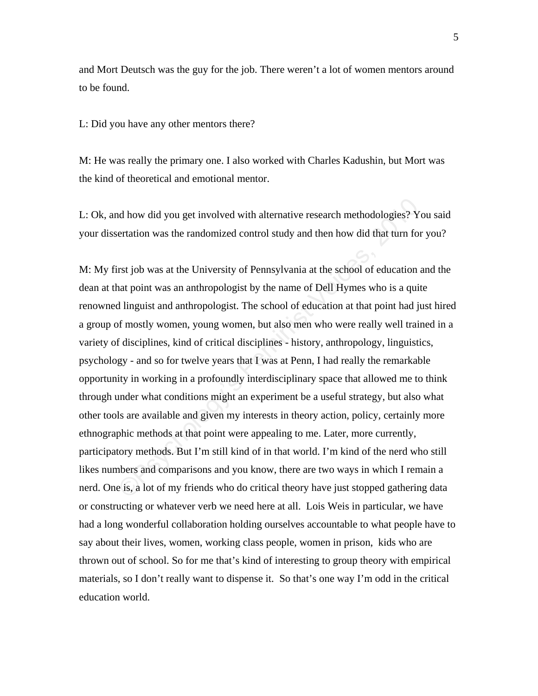and Mort Deutsch was the guy for the job. There weren't a lot of women mentors around to be found.

L: Did you have any other mentors there?

M: He was really the primary one. I also worked with Charles Kadushin, but Mort was the kind of theoretical and emotional mentor.

L: Ok, and how did you get involved with alternative research methodologies? You said your dissertation was the randomized control study and then how did that turn for you?

nd how did you get involved with alternative research methodologies? Yertation was the randomized control study and then how did that turn for rst job was at the University of Pennsylvania at the school of education and po M: My first job was at the University of Pennsylvania at the school of education and the dean at that point was an anthropologist by the name of Dell Hymes who is a quite renowned linguist and anthropologist. The school of education at that point had just hired a group of mostly women, young women, but also men who were really well trained in a variety of disciplines, kind of critical disciplines - history, anthropology, linguistics, psychology - and so for twelve years that I was at Penn, I had really the remarkable opportunity in working in a profoundly interdisciplinary space that allowed me to think through under what conditions might an experiment be a useful strategy, but also what other tools are available and given my interests in theory action, policy, certainly more ethnographic methods at that point were appealing to me. Later, more currently, participatory methods. But I'm still kind of in that world. I'm kind of the nerd who still likes numbers and comparisons and you know, there are two ways in which I remain a nerd. One is, a lot of my friends who do critical theory have just stopped gathering data or constructing or whatever verb we need here at all. Lois Weis in particular, we have had a long wonderful collaboration holding ourselves accountable to what people have to say about their lives, women, working class people, women in prison, kids who are thrown out of school. So for me that's kind of interesting to group theory with empirical materials, so I don't really want to dispense it. So that's one way I'm odd in the critical education world.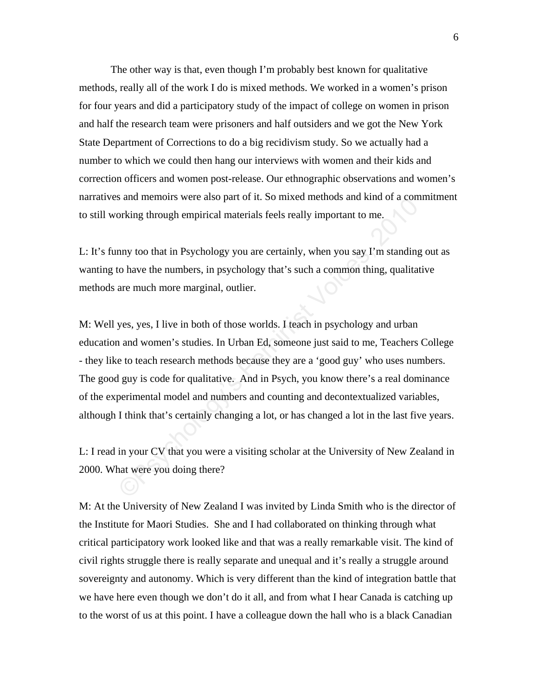The other way is that, even though I'm probably best known for qualitative methods, really all of the work I do is mixed methods. We worked in a women's prison for four years and did a participatory study of the impact of college on women in prison and half the research team were prisoners and half outsiders and we got the New York State Department of Corrections to do a big recidivism study. So we actually had a number to which we could then hang our interviews with women and their kids and correction officers and women post-release. Our ethnographic observations and women's narratives and memoirs were also part of it. So mixed methods and kind of a commitment to still working through empirical materials feels really important to me.

L: It's funny too that in Psychology you are certainly, when you say I'm standing out as wanting to have the numbers, in psychology that's such a common thing, qualitative methods are much more marginal, outlier.

Salar members were also part of it. So inteed members and kind of a common<br>riving through empirical materials feels really important to me.<br>
Important to the numbers, in psychology you are certainly, when you say I'm stand M: Well yes, yes, I live in both of those worlds. I teach in psychology and urban education and women's studies. In Urban Ed, someone just said to me, Teachers College - they like to teach research methods because they are a 'good guy' who uses numbers. The good guy is code for qualitative. And in Psych, you know there's a real dominance of the experimental model and numbers and counting and decontextualized variables, although I think that's certainly changing a lot, or has changed a lot in the last five years.

L: I read in your CV that you were a visiting scholar at the University of New Zealand in 2000. What were you doing there?

M: At the University of New Zealand I was invited by Linda Smith who is the director of the Institute for Maori Studies. She and I had collaborated on thinking through what critical participatory work looked like and that was a really remarkable visit. The kind of civil rights struggle there is really separate and unequal and it's really a struggle around sovereignty and autonomy. Which is very different than the kind of integration battle that we have here even though we don't do it all, and from what I hear Canada is catching up to the worst of us at this point. I have a colleague down the hall who is a black Canadian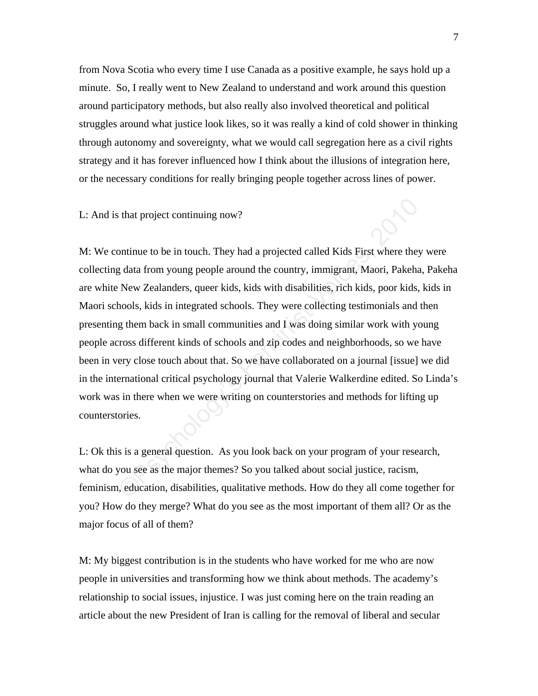from Nova Scotia who every time I use Canada as a positive example, he says hold up a minute. So, I really went to New Zealand to understand and work around this question around participatory methods, but also really also involved theoretical and political struggles around what justice look likes, so it was really a kind of cold shower in thinking through autonomy and sovereignty, what we would call segregation here as a civil rights strategy and it has forever influenced how I think about the illusions of integration here, or the necessary conditions for really bringing people together across lines of power.

L: And is that project continuing now?

State project continuing now?<br>
State projected called Kids First where they<br>
g data from young people around the country, immigrant, Maori, Pakeha,<br>
New Zealanders, queer kids, kids with disabilities, rich kids, poor kids, M: We continue to be in touch. They had a projected called Kids First where they were collecting data from young people around the country, immigrant, Maori, Pakeha, Pakeha are white New Zealanders, queer kids, kids with disabilities, rich kids, poor kids, kids in Maori schools, kids in integrated schools. They were collecting testimonials and then presenting them back in small communities and I was doing similar work with young people across different kinds of schools and zip codes and neighborhoods, so we have been in very close touch about that. So we have collaborated on a journal [issue] we did in the international critical psychology journal that Valerie Walkerdine edited. So Linda's work was in there when we were writing on counterstories and methods for lifting up counterstories.

L: Ok this is a general question. As you look back on your program of your research, what do you see as the major themes? So you talked about social justice, racism, feminism, education, disabilities, qualitative methods. How do they all come together for you? How do they merge? What do you see as the most important of them all? Or as the major focus of all of them?

M: My biggest contribution is in the students who have worked for me who are now people in universities and transforming how we think about methods. The academy's relationship to social issues, injustice. I was just coming here on the train reading an article about the new President of Iran is calling for the removal of liberal and secular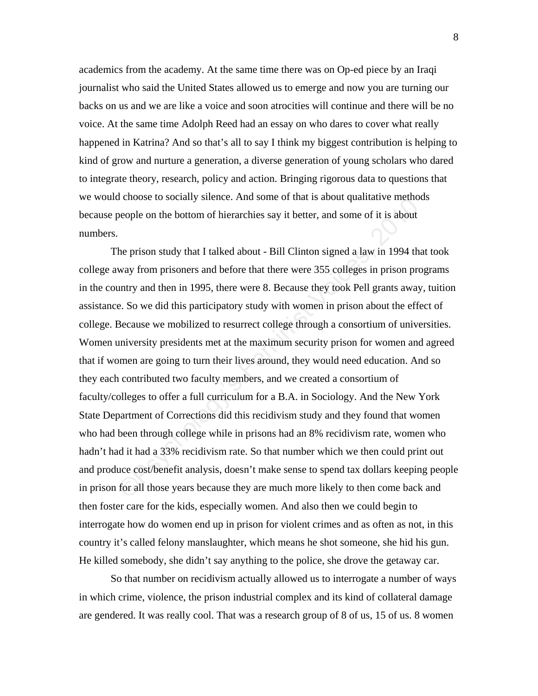academics from the academy. At the same time there was on Op-ed piece by an Iraqi journalist who said the United States allowed us to emerge and now you are turning our backs on us and we are like a voice and soon atrocities will continue and there will be no voice. At the same time Adolph Reed had an essay on who dares to cover what really happened in Katrina? And so that's all to say I think my biggest contribution is helping to kind of grow and nurture a generation, a diverse generation of young scholars who dared to integrate theory, research, policy and action. Bringing rigorous data to questions that we would choose to socially silence. And some of that is about qualitative methods because people on the bottom of hierarchies say it better, and some of it is about numbers.

Feminist Conservative Conservative memotion of the bottom of hierarchies say it better, and some of it is about<br>the prison study that I talked about - Bill Clinton signed a law in 1994 that<br>way from prisoners and before th The prison study that I talked about - Bill Clinton signed a law in 1994 that took college away from prisoners and before that there were 355 colleges in prison programs in the country and then in 1995, there were 8. Because they took Pell grants away, tuition assistance. So we did this participatory study with women in prison about the effect of college. Because we mobilized to resurrect college through a consortium of universities. Women university presidents met at the maximum security prison for women and agreed that if women are going to turn their lives around, they would need education. And so they each contributed two faculty members, and we created a consortium of faculty/colleges to offer a full curriculum for a B.A. in Sociology. And the New York State Department of Corrections did this recidivism study and they found that women who had been through college while in prisons had an 8% recidivism rate, women who hadn't had it had a 33% recidivism rate. So that number which we then could print out and produce cost/benefit analysis, doesn't make sense to spend tax dollars keeping people in prison for all those years because they are much more likely to then come back and then foster care for the kids, especially women. And also then we could begin to interrogate how do women end up in prison for violent crimes and as often as not, in this country it's called felony manslaughter, which means he shot someone, she hid his gun. He killed somebody, she didn't say anything to the police, she drove the getaway car.

 So that number on recidivism actually allowed us to interrogate a number of ways in which crime, violence, the prison industrial complex and its kind of collateral damage are gendered. It was really cool. That was a research group of 8 of us, 15 of us. 8 women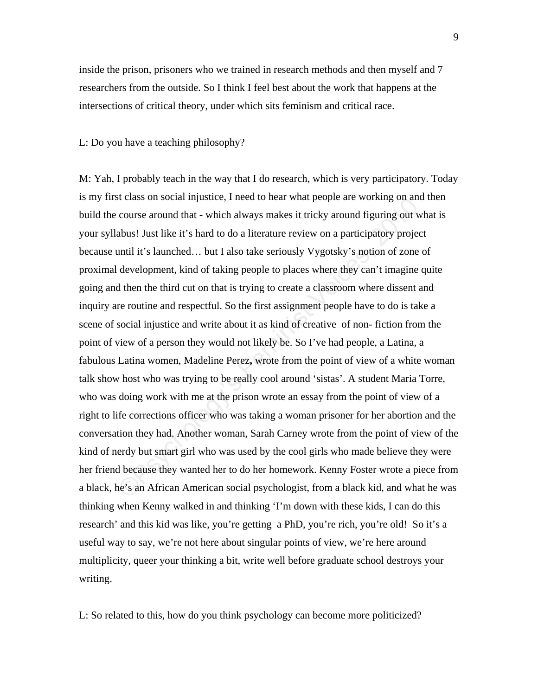inside the prison, prisoners who we trained in research methods and then myself and 7 researchers from the outside. So I think I feel best about the work that happens at the intersections of critical theory, under which sits feminism and critical race.

L: Do you have a teaching philosophy?

Exercises on social injustice, Theed to near what people are working on and<br>course around that - which always makes it tricky around figuring out w<br>abus! Just like it's hard to do a literature review on a participatory pro M: Yah, I probably teach in the way that I do research, which is very participatory. Today is my first class on social injustice, I need to hear what people are working on and then build the course around that - which always makes it tricky around figuring out what is your syllabus! Just like it's hard to do a literature review on a participatory project because until it's launched… but I also take seriously Vygotsky's notion of zone of proximal development, kind of taking people to places where they can't imagine quite going and then the third cut on that is trying to create a classroom where dissent and inquiry are routine and respectful. So the first assignment people have to do is take a scene of social injustice and write about it as kind of creative of non- fiction from the point of view of a person they would not likely be. So I've had people, a Latina, a fabulous Latina women, Madeline Perez**,** wrote from the point of view of a white woman talk show host who was trying to be really cool around 'sistas'. A student Maria Torre, who was doing work with me at the prison wrote an essay from the point of view of a right to life corrections officer who was taking a woman prisoner for her abortion and the conversation they had. Another woman, Sarah Carney wrote from the point of view of the kind of nerdy but smart girl who was used by the cool girls who made believe they were her friend because they wanted her to do her homework. Kenny Foster wrote a piece from a black, he's an African American social psychologist, from a black kid, and what he was thinking when Kenny walked in and thinking 'I'm down with these kids, I can do this research' and this kid was like, you're getting a PhD, you're rich, you're old! So it's a useful way to say, we're not here about singular points of view, we're here around multiplicity, queer your thinking a bit, write well before graduate school destroys your writing.

L: So related to this, how do you think psychology can become more politicized?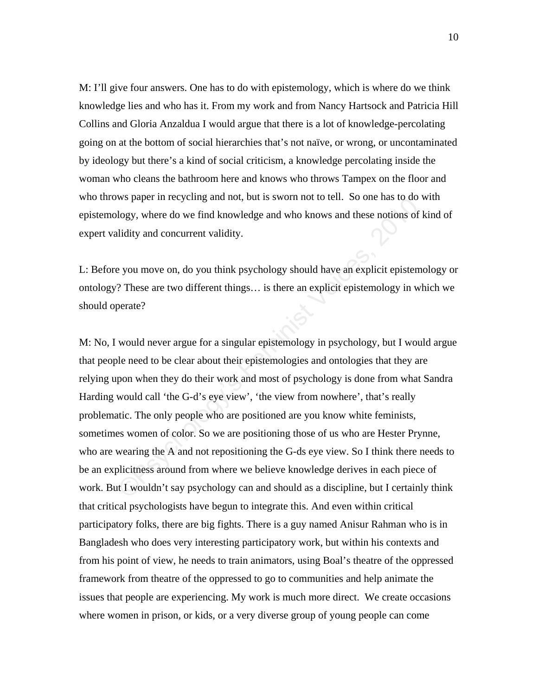M: I'll give four answers. One has to do with epistemology, which is where do we think knowledge lies and who has it. From my work and from Nancy Hartsock and Patricia Hill Collins and Gloria Anzaldua I would argue that there is a lot of knowledge-percolating going on at the bottom of social hierarchies that's not naïve, or wrong, or uncontaminated by ideology but there's a kind of social criticism, a knowledge percolating inside the woman who cleans the bathroom here and knows who throws Tampex on the floor and who throws paper in recycling and not, but is sworn not to tell. So one has to do with epistemology, where do we find knowledge and who knows and these notions of kind of expert validity and concurrent validity.

L: Before you move on, do you think psychology should have an explicit epistemology or ontology? These are two different things… is there an explicit epistemology in which we should operate?

We yaper in recycling and not, out is sworm not to ten!. So one has to do velogy, where do we find knowledge and who knows and these notions of l<br>lidity and concurrent validity.<br>
Evou move on, do you think psychology shoul M: No, I would never argue for a singular epistemology in psychology, but I would argue that people need to be clear about their epistemologies and ontologies that they are relying upon when they do their work and most of psychology is done from what Sandra Harding would call 'the G-d's eye view', 'the view from nowhere', that's really problematic. The only people who are positioned are you know white feminists, sometimes women of color. So we are positioning those of us who are Hester Prynne, who are wearing the A and not repositioning the G-ds eye view. So I think there needs to be an explicitness around from where we believe knowledge derives in each piece of work. But I wouldn't say psychology can and should as a discipline, but I certainly think that critical psychologists have begun to integrate this. And even within critical participatory folks, there are big fights. There is a guy named Anisur Rahman who is in Bangladesh who does very interesting participatory work, but within his contexts and from his point of view, he needs to train animators, using Boal's theatre of the oppressed framework from theatre of the oppressed to go to communities and help animate the issues that people are experiencing. My work is much more direct. We create occasions where women in prison, or kids, or a very diverse group of young people can come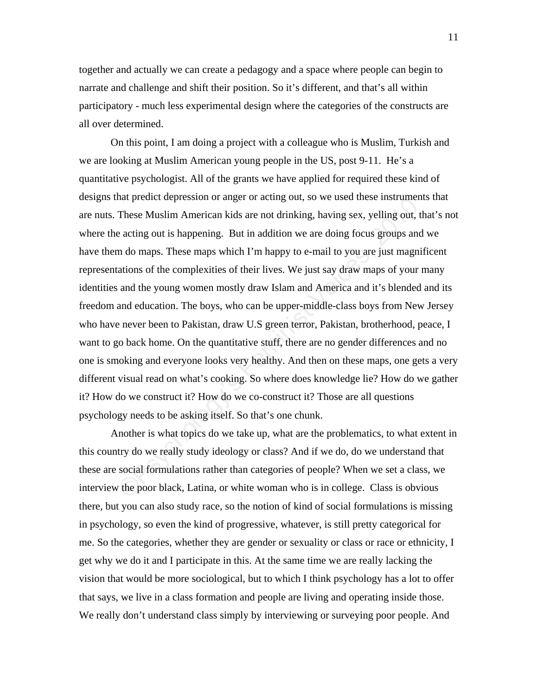together and actually we can create a pedagogy and a space where people can begin to narrate and challenge and shift their position. So it's different, and that's all within participatory - much less experimental design where the categories of the constructs are all over determined.

and preact depression of anger of acting out, so we used insee instrument.<br>These Muslim American kids are not drinking, having sex, yelling out, de<br>acting out is happening. But in addition we are doing focus groups and<br>n d On this point, I am doing a project with a colleague who is Muslim, Turkish and we are looking at Muslim American young people in the US, post 9-11. He's a quantitative psychologist. All of the grants we have applied for required these kind of designs that predict depression or anger or acting out, so we used these instruments that are nuts. These Muslim American kids are not drinking, having sex, yelling out, that's not where the acting out is happening. But in addition we are doing focus groups and we have them do maps. These maps which I'm happy to e-mail to you are just magnificent representations of the complexities of their lives. We just say draw maps of your many identities and the young women mostly draw Islam and America and it's blended and its freedom and education. The boys, who can be upper-middle-class boys from New Jersey who have never been to Pakistan, draw U.S green terror, Pakistan, brotherhood, peace, I want to go back home. On the quantitative stuff, there are no gender differences and no one is smoking and everyone looks very healthy. And then on these maps, one gets a very different visual read on what's cooking. So where does knowledge lie? How do we gather it? How do we construct it? How do we co-construct it? Those are all questions psychology needs to be asking itself. So that's one chunk.

 Another is what topics do we take up, what are the problematics, to what extent in this country do we really study ideology or class? And if we do, do we understand that these are social formulations rather than categories of people? When we set a class, we interview the poor black, Latina, or white woman who is in college. Class is obvious there, but you can also study race, so the notion of kind of social formulations is missing in psychology, so even the kind of progressive, whatever, is still pretty categorical for me. So the categories, whether they are gender or sexuality or class or race or ethnicity, I get why we do it and I participate in this. At the same time we are really lacking the vision that would be more sociological, but to which I think psychology has a lot to offer that says, we live in a class formation and people are living and operating inside those. We really don't understand class simply by interviewing or surveying poor people. And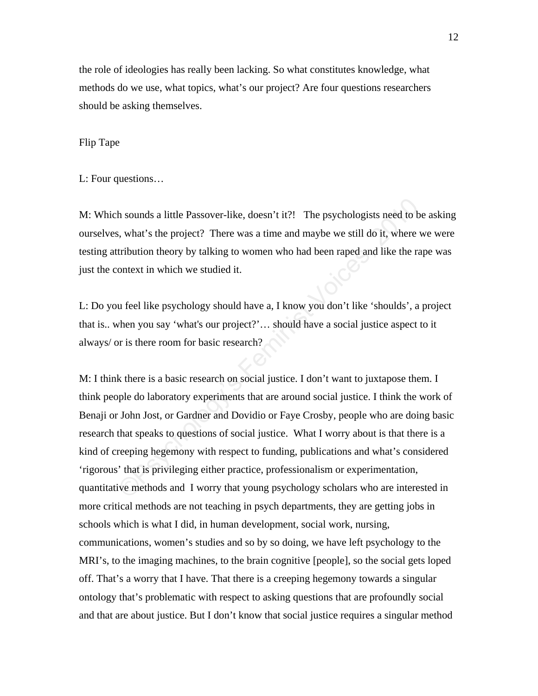the role of ideologies has really been lacking. So what constitutes knowledge, what methods do we use, what topics, what's our project? Are four questions researchers should be asking themselves.

#### Flip Tape

L: Four questions…

M: Which sounds a little Passover-like, doesn't it?! The psychologists need to be asking ourselves, what's the project? There was a time and maybe we still do it, where we were testing attribution theory by talking to women who had been raped and like the rape was just the context in which we studied it.

L: Do you feel like psychology should have a, I know you don't like 'shoulds', a project that is.. when you say 'what's our project?'… should have a social justice aspect to it always/ or is there room for basic research?

h sounds a little Passover-like, doesn't it?! The psychologists need to be, what's the project? There was a time and maybe we still do it, where v<br>tribution theory by talking to women who had been raped and like the ra<br>ont M: I think there is a basic research on social justice. I don't want to juxtapose them. I think people do laboratory experiments that are around social justice. I think the work of Benaji or John Jost, or Gardner and Dovidio or Faye Crosby, people who are doing basic research that speaks to questions of social justice. What I worry about is that there is a kind of creeping hegemony with respect to funding, publications and what's considered 'rigorous' that is privileging either practice, professionalism or experimentation, quantitative methods and I worry that young psychology scholars who are interested in more critical methods are not teaching in psych departments, they are getting jobs in schools which is what I did, in human development, social work, nursing, communications, women's studies and so by so doing, we have left psychology to the MRI's, to the imaging machines, to the brain cognitive [people], so the social gets loped off. That's a worry that I have. That there is a creeping hegemony towards a singular ontology that's problematic with respect to asking questions that are profoundly social and that are about justice. But I don't know that social justice requires a singular method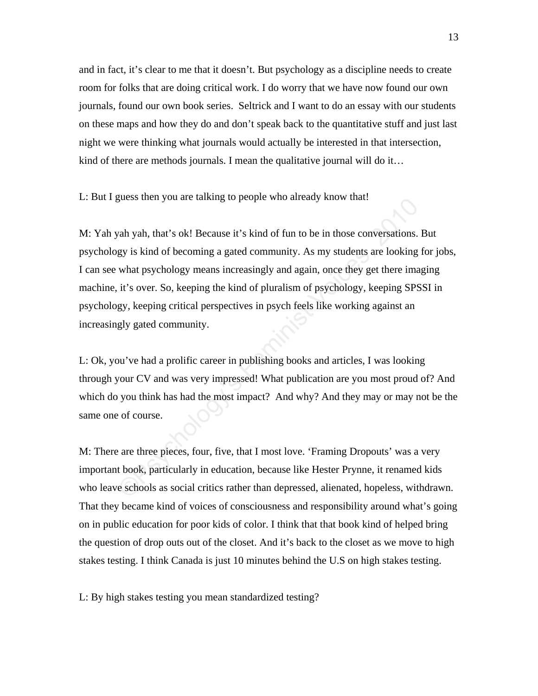and in fact, it's clear to me that it doesn't. But psychology as a discipline needs to create room for folks that are doing critical work. I do worry that we have now found our own journals, found our own book series. Seltrick and I want to do an essay with our students on these maps and how they do and don't speak back to the quantitative stuff and just last night we were thinking what journals would actually be interested in that intersection, kind of there are methods journals. I mean the qualitative journal will do it…

L: But I guess then you are talking to people who already know that!

glass ulter you are tanking to people who anteaty know that:<br>
yah yah, that's ok! Because it's kind of fun to be in those conversations. I<br>
gy is kind of becoming a gated community. As my students are looking that psycholo M: Yah yah yah, that's ok! Because it's kind of fun to be in those conversations. But psychology is kind of becoming a gated community. As my students are looking for jobs, I can see what psychology means increasingly and again, once they get there imaging machine, it's over. So, keeping the kind of pluralism of psychology, keeping SPSSI in psychology, keeping critical perspectives in psych feels like working against an increasingly gated community.

L: Ok, you've had a prolific career in publishing books and articles, I was looking through your CV and was very impressed! What publication are you most proud of? And which do you think has had the most impact? And why? And they may or may not be the same one of course.

M: There are three pieces, four, five, that I most love. 'Framing Dropouts' was a very important book, particularly in education, because like Hester Prynne, it renamed kids who leave schools as social critics rather than depressed, alienated, hopeless, withdrawn. That they became kind of voices of consciousness and responsibility around what's going on in public education for poor kids of color. I think that that book kind of helped bring the question of drop outs out of the closet. And it's back to the closet as we move to high stakes testing. I think Canada is just 10 minutes behind the U.S on high stakes testing.

L: By high stakes testing you mean standardized testing?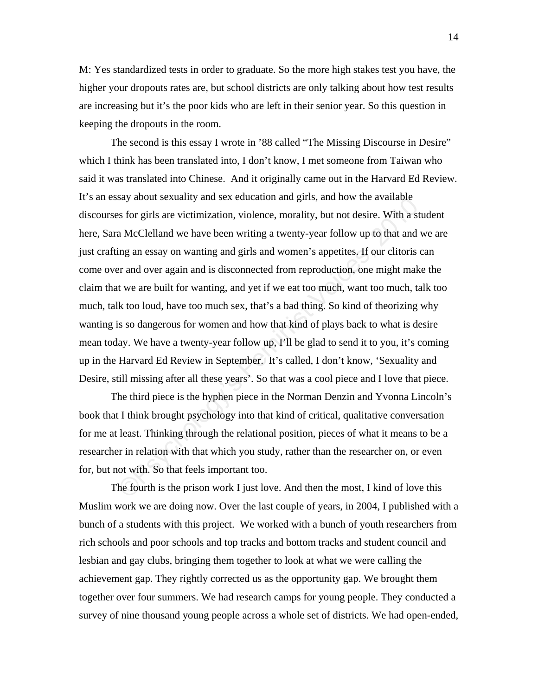M: Yes standardized tests in order to graduate. So the more high stakes test you have, the higher your dropouts rates are, but school districts are only talking about how test results are increasing but it's the poor kids who are left in their senior year. So this question in keeping the dropouts in the room.

say about sexuality and sex education and giris, and now the available<br>s for girls are victimization, violence, morality, but not desire. With a sta<br>a McClelland we have been writing a twenty-year follow up to that and v<br>i The second is this essay I wrote in '88 called "The Missing Discourse in Desire" which I think has been translated into, I don't know, I met someone from Taiwan who said it was translated into Chinese. And it originally came out in the Harvard Ed Review. It's an essay about sexuality and sex education and girls, and how the available discourses for girls are victimization, violence, morality, but not desire. With a student here, Sara McClelland we have been writing a twenty-year follow up to that and we are just crafting an essay on wanting and girls and women's appetites. If our clitoris can come over and over again and is disconnected from reproduction, one might make the claim that we are built for wanting, and yet if we eat too much, want too much, talk too much, talk too loud, have too much sex, that's a bad thing. So kind of theorizing why wanting is so dangerous for women and how that kind of plays back to what is desire mean today. We have a twenty-year follow up, I'll be glad to send it to you, it's coming up in the Harvard Ed Review in September. It's called, I don't know, 'Sexuality and Desire, still missing after all these years'. So that was a cool piece and I love that piece.

The third piece is the hyphen piece in the Norman Denzin and Yvonna Lincoln's book that I think brought psychology into that kind of critical, qualitative conversation for me at least. Thinking through the relational position, pieces of what it means to be a researcher in relation with that which you study, rather than the researcher on, or even for, but not with. So that feels important too.

 The fourth is the prison work I just love. And then the most, I kind of love this Muslim work we are doing now. Over the last couple of years, in 2004, I published with a bunch of a students with this project. We worked with a bunch of youth researchers from rich schools and poor schools and top tracks and bottom tracks and student council and lesbian and gay clubs, bringing them together to look at what we were calling the achievement gap. They rightly corrected us as the opportunity gap. We brought them together over four summers. We had research camps for young people. They conducted a survey of nine thousand young people across a whole set of districts. We had open-ended,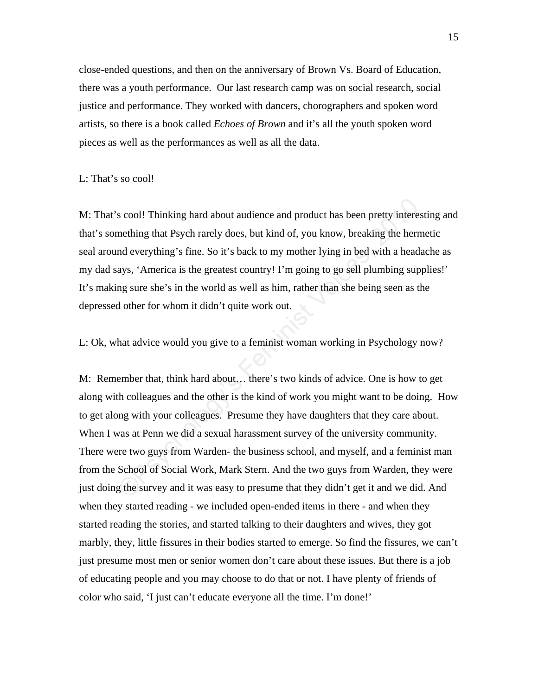close-ended questions, and then on the anniversary of Brown Vs. Board of Education, there was a youth performance. Our last research camp was on social research, social justice and performance. They worked with dancers, chorographers and spoken word artists, so there is a book called *Echoes of Brown* and it's all the youth spoken word pieces as well as the performances as well as all the data.

## L: That's so cool!

M: That's cool! Thinking hard about audience and product has been pretty interesting and that's something that Psych rarely does, but kind of, you know, breaking the hermetic seal around everything's fine. So it's back to my mother lying in bed with a headache as my dad says, 'America is the greatest country! I'm going to go sell plumbing supplies!' It's making sure she's in the world as well as him, rather than she being seen as the depressed other for whom it didn't quite work out.

L: Ok, what advice would you give to a feminist woman working in Psychology now?

s cool! Thinking hard about audience and product has been pretty interes<br>mething that Psych rarely does, but kind of, you know, breaking the herm<br>nd everything's fine. So it's back to my mother lying in bed with a heada<br>ay M: Remember that, think hard about… there's two kinds of advice. One is how to get along with colleagues and the other is the kind of work you might want to be doing. How to get along with your colleagues. Presume they have daughters that they care about. When I was at Penn we did a sexual harassment survey of the university community. There were two guys from Warden- the business school, and myself, and a feminist man from the School of Social Work, Mark Stern. And the two guys from Warden, they were just doing the survey and it was easy to presume that they didn't get it and we did. And when they started reading - we included open-ended items in there - and when they started reading the stories, and started talking to their daughters and wives, they got marbly, they, little fissures in their bodies started to emerge. So find the fissures, we can't just presume most men or senior women don't care about these issues. But there is a job of educating people and you may choose to do that or not. I have plenty of friends of color who said, 'I just can't educate everyone all the time. I'm done!'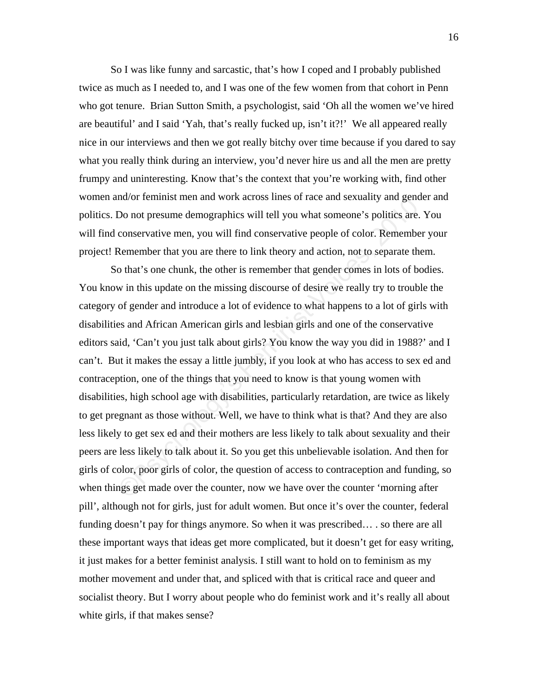So I was like funny and sarcastic, that's how I coped and I probably published twice as much as I needed to, and I was one of the few women from that cohort in Penn who got tenure. Brian Sutton Smith, a psychologist, said 'Oh all the women we've hired are beautiful' and I said 'Yah, that's really fucked up, isn't it?!' We all appeared really nice in our interviews and then we got really bitchy over time because if you dared to say what you really think during an interview, you'd never hire us and all the men are pretty frumpy and uninteresting. Know that's the context that you're working with, find other women and/or feminist men and work across lines of race and sexuality and gender and politics. Do not presume demographics will tell you what someone's politics are. You will find conservative men, you will find conservative people of color. Remember your project! Remember that you are there to link theory and action, not to separate them.

nd/or leminist inen and work across lines or lace and sexuality and gend<br>Do not presume demographics will tell you what someone's politics are.<br>conservative men, you will find conservative people of color. Remember<br>Remembe So that's one chunk, the other is remember that gender comes in lots of bodies. You know in this update on the missing discourse of desire we really try to trouble the category of gender and introduce a lot of evidence to what happens to a lot of girls with disabilities and African American girls and lesbian girls and one of the conservative editors said, 'Can't you just talk about girls? You know the way you did in 1988?' and I can't. But it makes the essay a little jumbly, if you look at who has access to sex ed and contraception, one of the things that you need to know is that young women with disabilities, high school age with disabilities, particularly retardation, are twice as likely to get pregnant as those without. Well, we have to think what is that? And they are also less likely to get sex ed and their mothers are less likely to talk about sexuality and their peers are less likely to talk about it. So you get this unbelievable isolation. And then for girls of color, poor girls of color, the question of access to contraception and funding, so when things get made over the counter, now we have over the counter 'morning after pill', although not for girls, just for adult women. But once it's over the counter, federal funding doesn't pay for things anymore. So when it was prescribed… . so there are all these important ways that ideas get more complicated, but it doesn't get for easy writing, it just makes for a better feminist analysis. I still want to hold on to feminism as my mother movement and under that, and spliced with that is critical race and queer and socialist theory. But I worry about people who do feminist work and it's really all about white girls, if that makes sense?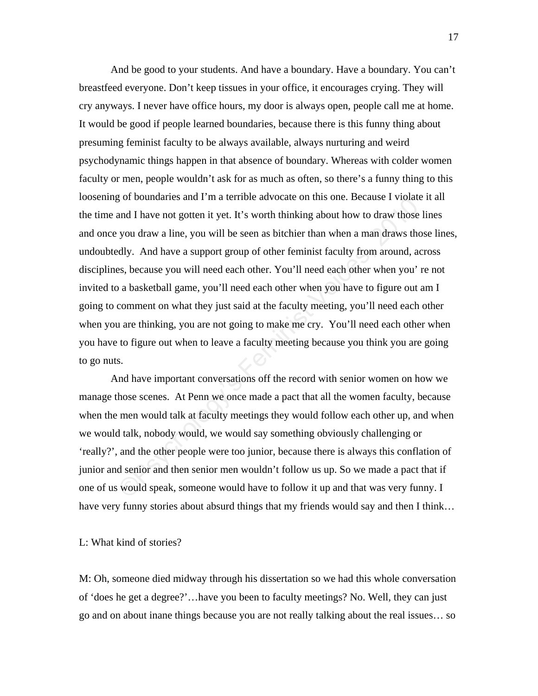or boundaries and 1 In a terribe advocate of this one. Because I violate and I have not gotten it yet. It's worth thinking about how to draw those l you draw a line, you will be seen as bitchier than when a man draws tho d And be good to your students. And have a boundary. Have a boundary. You can't breastfeed everyone. Don't keep tissues in your office, it encourages crying. They will cry anyways. I never have office hours, my door is always open, people call me at home. It would be good if people learned boundaries, because there is this funny thing about presuming feminist faculty to be always available, always nurturing and weird psychodynamic things happen in that absence of boundary. Whereas with colder women faculty or men, people wouldn't ask for as much as often, so there's a funny thing to this loosening of boundaries and I'm a terrible advocate on this one. Because I violate it all the time and I have not gotten it yet. It's worth thinking about how to draw those lines and once you draw a line, you will be seen as bitchier than when a man draws those lines, undoubtedly. And have a support group of other feminist faculty from around, across disciplines, because you will need each other. You'll need each other when you' re not invited to a basketball game, you'll need each other when you have to figure out am I going to comment on what they just said at the faculty meeting, you'll need each other when you are thinking, you are not going to make me cry. You'll need each other when you have to figure out when to leave a faculty meeting because you think you are going to go nuts.

 And have important conversations off the record with senior women on how we manage those scenes. At Penn we once made a pact that all the women faculty, because when the men would talk at faculty meetings they would follow each other up, and when we would talk, nobody would, we would say something obviously challenging or 'really?', and the other people were too junior, because there is always this conflation of junior and senior and then senior men wouldn't follow us up. So we made a pact that if one of us would speak, someone would have to follow it up and that was very funny. I have very funny stories about absurd things that my friends would say and then I think…

## L: What kind of stories?

M: Oh, someone died midway through his dissertation so we had this whole conversation of 'does he get a degree?'…have you been to faculty meetings? No. Well, they can just go and on about inane things because you are not really talking about the real issues… so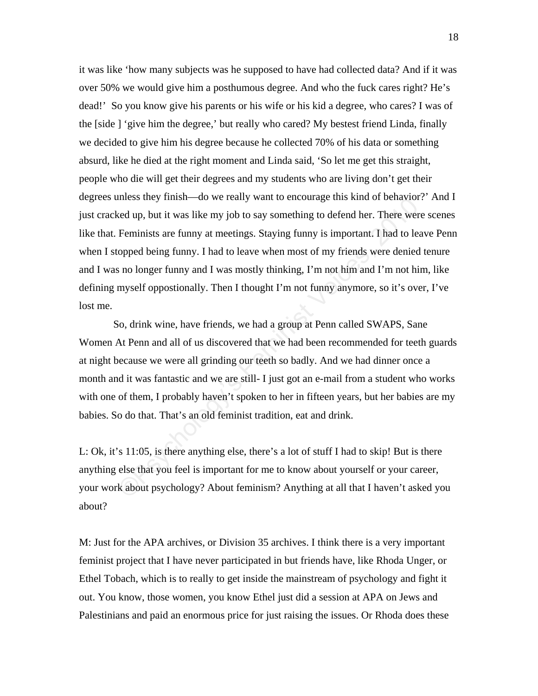mess they mish—do we fearly want to encourage this kind of behaviors<br>ed up, but it was like my job to say something to defend her. There were<br>Feminists are funny at meetings. Staying funny is important. I had to lea<br>opped it was like 'how many subjects was he supposed to have had collected data? And if it was over 50% we would give him a posthumous degree. And who the fuck cares right? He's dead!' So you know give his parents or his wife or his kid a degree, who cares? I was of the [side ] 'give him the degree,' but really who cared? My bestest friend Linda, finally we decided to give him his degree because he collected 70% of his data or something absurd, like he died at the right moment and Linda said, 'So let me get this straight, people who die will get their degrees and my students who are living don't get their degrees unless they finish—do we really want to encourage this kind of behavior?' And I just cracked up, but it was like my job to say something to defend her. There were scenes like that. Feminists are funny at meetings. Staying funny is important. I had to leave Penn when I stopped being funny. I had to leave when most of my friends were denied tenure and I was no longer funny and I was mostly thinking, I'm not him and I'm not him, like defining myself oppostionally. Then I thought I'm not funny anymore, so it's over, I've lost me.

 So, drink wine, have friends, we had a group at Penn called SWAPS, Sane Women At Penn and all of us discovered that we had been recommended for teeth guards at night because we were all grinding our teeth so badly. And we had dinner once a month and it was fantastic and we are still- I just got an e-mail from a student who works with one of them, I probably haven't spoken to her in fifteen years, but her babies are my babies. So do that. That's an old feminist tradition, eat and drink.

L: Ok, it's 11:05, is there anything else, there's a lot of stuff I had to skip! But is there anything else that you feel is important for me to know about yourself or your career, your work about psychology? About feminism? Anything at all that I haven't asked you about?

M: Just for the APA archives, or Division 35 archives. I think there is a very important feminist project that I have never participated in but friends have, like Rhoda Unger, or Ethel Tobach, which is to really to get inside the mainstream of psychology and fight it out. You know, those women, you know Ethel just did a session at APA on Jews and Palestinians and paid an enormous price for just raising the issues. Or Rhoda does these